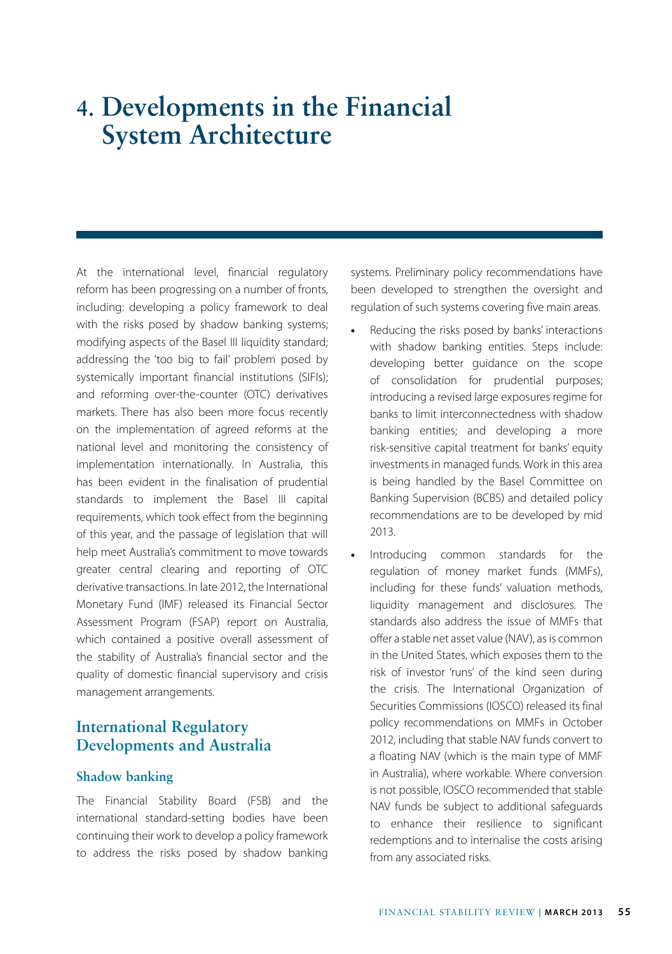# **4. Developments in the Financial System Architecture**

At the international level, financial regulatory reform has been progressing on a number of fronts, including: developing a policy framework to deal with the risks posed by shadow banking systems; modifying aspects of the Basel III liquidity standard; addressing the 'too big to fail' problem posed by systemically important financial institutions (SIFIs); and reforming over-the-counter (OTC) derivatives markets. There has also been more focus recently on the implementation of agreed reforms at the national level and monitoring the consistency of implementation internationally. In Australia, this has been evident in the finalisation of prudential standards to implement the Basel III capital requirements, which took effect from the beginning of this year, and the passage of legislation that will help meet Australia's commitment to move towards greater central clearing and reporting of OTC derivative transactions. In late 2012, the International Monetary Fund (IMF) released its Financial Sector Assessment Program (FSAP) report on Australia, which contained a positive overall assessment of the stability of Australia's financial sector and the quality of domestic financial supervisory and crisis management arrangements.

# **International Regulatory Developments and Australia**

#### **Shadow banking**

The Financial Stability Board (FSB) and the international standard-setting bodies have been continuing their work to develop a policy framework to address the risks posed by shadow banking systems. Preliminary policy recommendations have been developed to strengthen the oversight and regulation of such systems covering five main areas.

- **•** Reducing the risks posed by banks' interactions with shadow banking entities. Steps include: developing better guidance on the scope of consolidation for prudential purposes; introducing a revised large exposures regime for banks to limit interconnectedness with shadow banking entities; and developing a more risk-sensitive capital treatment for banks' equity investments in managed funds. Work in this area is being handled by the Basel Committee on Banking Supervision (BCBS) and detailed policy recommendations are to be developed by mid 2013.
- **•** Introducing common standards for the regulation of money market funds (MMFs), including for these funds' valuation methods, liquidity management and disclosures. The standards also address the issue of MMFs that offer a stable net asset value (NAV), as is common in the United States, which exposes them to the risk of investor 'runs' of the kind seen during the crisis. The International Organization of Securities Commissions (IOSCO) released its final policy recommendations on MMFs in October 2012, including that stable NAV funds convert to a floating NAV (which is the main type of MMF in Australia), where workable. Where conversion is not possible, IOSCO recommended that stable NAV funds be subject to additional safeguards to enhance their resilience to significant redemptions and to internalise the costs arising from any associated risks.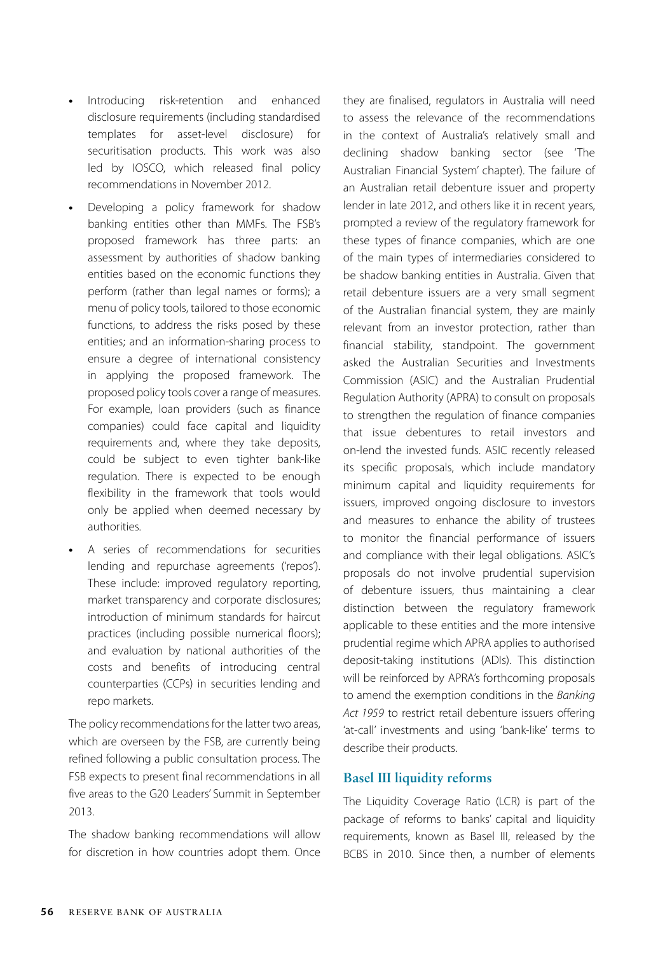- **•** Introducing risk-retention and enhanced disclosure requirements (including standardised templates for asset-level disclosure) for securitisation products. This work was also led by IOSCO, which released final policy recommendations in November 2012.
- **•** Developing a policy framework for shadow banking entities other than MMFs. The FSB's proposed framework has three parts: an assessment by authorities of shadow banking entities based on the economic functions they perform (rather than legal names or forms); a menu of policy tools, tailored to those economic functions, to address the risks posed by these entities; and an information-sharing process to ensure a degree of international consistency in applying the proposed framework. The proposed policy tools cover a range of measures. For example, loan providers (such as finance companies) could face capital and liquidity requirements and, where they take deposits, could be subject to even tighter bank-like regulation. There is expected to be enough flexibility in the framework that tools would only be applied when deemed necessary by authorities.
- **•** A series of recommendations for securities lending and repurchase agreements ('repos'). These include: improved regulatory reporting, market transparency and corporate disclosures; introduction of minimum standards for haircut practices (including possible numerical floors); and evaluation by national authorities of the costs and benefits of introducing central counterparties (CCPs) in securities lending and repo markets.

The policy recommendations for the latter two areas, which are overseen by the FSB, are currently being refined following a public consultation process. The FSB expects to present final recommendations in all five areas to the G20 Leaders' Summit in September 2013.

The shadow banking recommendations will allow for discretion in how countries adopt them. Once they are finalised, regulators in Australia will need to assess the relevance of the recommendations in the context of Australia's relatively small and declining shadow banking sector (see 'The Australian Financial System' chapter). The failure of an Australian retail debenture issuer and property lender in late 2012, and others like it in recent years, prompted a review of the regulatory framework for these types of finance companies, which are one of the main types of intermediaries considered to be shadow banking entities in Australia. Given that retail debenture issuers are a very small segment of the Australian financial system, they are mainly relevant from an investor protection, rather than financial stability, standpoint. The government asked the Australian Securities and Investments Commission (ASIC) and the Australian Prudential Regulation Authority (APRA) to consult on proposals to strengthen the regulation of finance companies that issue debentures to retail investors and on-lend the invested funds. ASIC recently released its specific proposals, which include mandatory minimum capital and liquidity requirements for issuers, improved ongoing disclosure to investors and measures to enhance the ability of trustees to monitor the financial performance of issuers and compliance with their legal obligations. ASIC's proposals do not involve prudential supervision of debenture issuers, thus maintaining a clear distinction between the regulatory framework applicable to these entities and the more intensive prudential regime which APRA applies to authorised deposit-taking institutions (ADIs). This distinction will be reinforced by APRA's forthcoming proposals to amend the exemption conditions in the *Banking Act 1959* to restrict retail debenture issuers offering 'at-call' investments and using 'bank-like' terms to describe their products.

#### **Basel III liquidity reforms**

The Liquidity Coverage Ratio (LCR) is part of the package of reforms to banks' capital and liquidity requirements, known as Basel III, released by the BCBS in 2010. Since then, a number of elements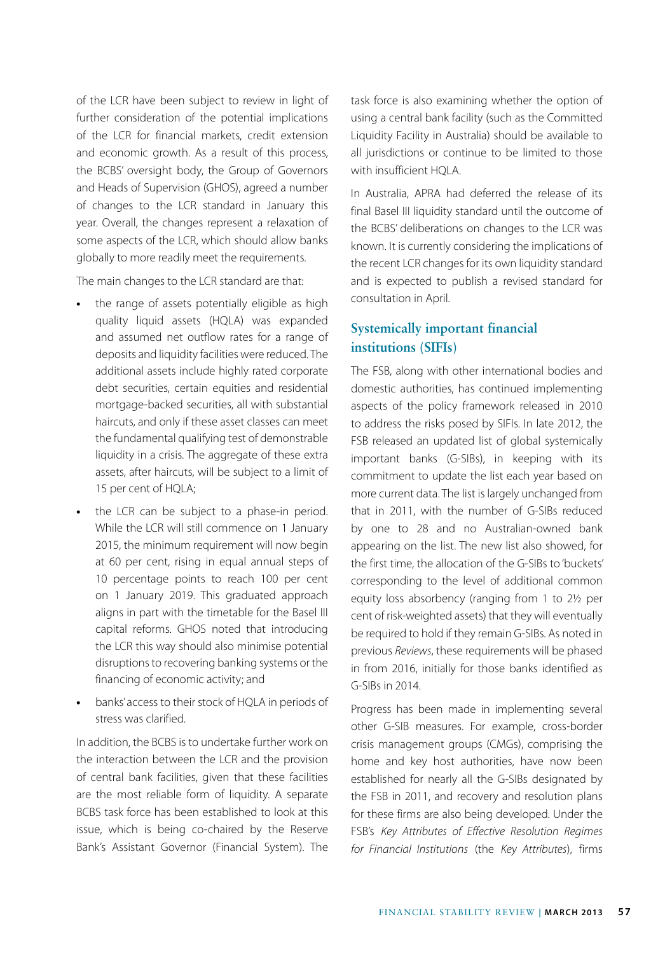of the LCR have been subject to review in light of further consideration of the potential implications of the LCR for financial markets, credit extension and economic growth. As a result of this process, the BCBS' oversight body, the Group of Governors and Heads of Supervision (GHOS), agreed a number of changes to the LCR standard in January this year. Overall, the changes represent a relaxation of some aspects of the LCR, which should allow banks globally to more readily meet the requirements.

The main changes to the LCR standard are that:

- **•** the range of assets potentially eligible as high quality liquid assets (HQLA) was expanded and assumed net outflow rates for a range of deposits and liquidity facilities were reduced. The additional assets include highly rated corporate debt securities, certain equities and residential mortgage-backed securities, all with substantial haircuts, and only if these asset classes can meet the fundamental qualifying test of demonstrable liquidity in a crisis. The aggregate of these extra assets, after haircuts, will be subject to a limit of 15 per cent of HQLA;
- **•** the LCR can be subject to a phase-in period. While the LCR will still commence on 1 January 2015, the minimum requirement will now begin at 60 per cent, rising in equal annual steps of 10 percentage points to reach 100 per cent on 1 January 2019. This graduated approach aligns in part with the timetable for the Basel III capital reforms. GHOS noted that introducing the LCR this way should also minimise potential disruptions to recovering banking systems or the financing of economic activity; and
- **•** banks' access to their stock of HQLA in periods of stress was clarified.

In addition, the BCBS is to undertake further work on the interaction between the LCR and the provision of central bank facilities, given that these facilities are the most reliable form of liquidity. A separate BCBS task force has been established to look at this issue, which is being co-chaired by the Reserve Bank's Assistant Governor (Financial System). The task force is also examining whether the option of using a central bank facility (such as the Committed Liquidity Facility in Australia) should be available to all jurisdictions or continue to be limited to those with insufficient HQLA.

In Australia, APRA had deferred the release of its final Basel III liquidity standard until the outcome of the BCBS' deliberations on changes to the LCR was known. It is currently considering the implications of the recent LCR changes for its own liquidity standard and is expected to publish a revised standard for consultation in April.

# **Systemically important financial institutions (SIFIs)**

The FSB, along with other international bodies and domestic authorities, has continued implementing aspects of the policy framework released in 2010 to address the risks posed by SIFIs. In late 2012, the FSB released an updated list of global systemically important banks (G-SIBs), in keeping with its commitment to update the list each year based on more current data. The list is largely unchanged from that in 2011, with the number of G-SIBs reduced by one to 28 and no Australian-owned bank appearing on the list. The new list also showed, for the first time, the allocation of the G-SIBs to 'buckets' corresponding to the level of additional common equity loss absorbency (ranging from 1 to 2½ per cent of risk-weighted assets) that they will eventually be required to hold if they remain G-SIBs. As noted in previous *Reviews*, these requirements will be phased in from 2016, initially for those banks identified as G-SIBs in 2014.

Progress has been made in implementing several other G-SIB measures. For example, cross-border crisis management groups (CMGs), comprising the home and key host authorities, have now been established for nearly all the G-SIBs designated by the FSB in 2011, and recovery and resolution plans for these firms are also being developed. Under the FSB's *Key Attributes of Effective Resolution Regimes for Financial Institutions* (the *Key Attributes*), firms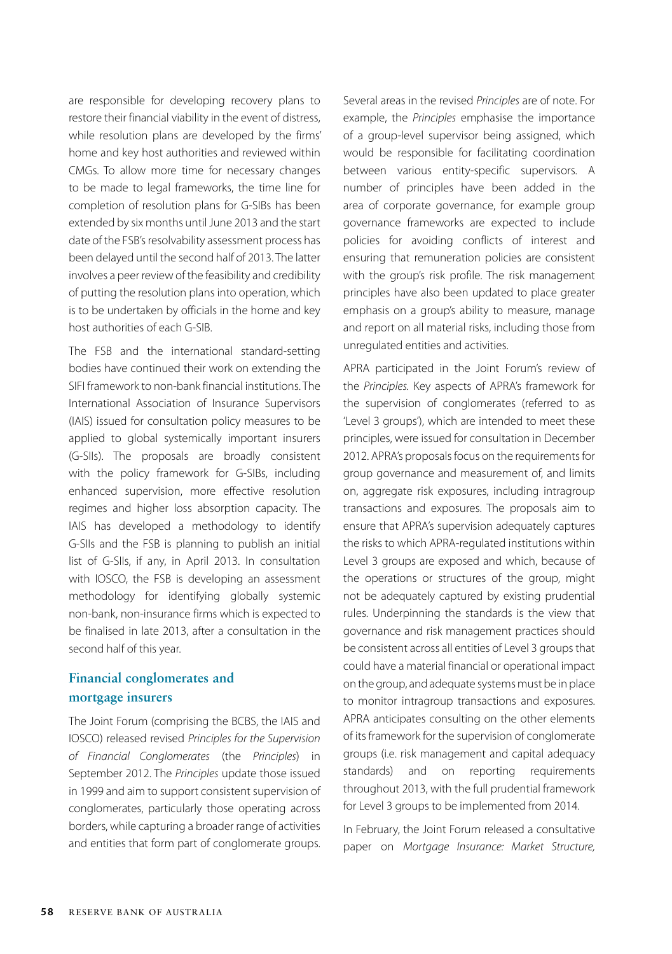are responsible for developing recovery plans to restore their financial viability in the event of distress, while resolution plans are developed by the firms' home and key host authorities and reviewed within CMGs. To allow more time for necessary changes to be made to legal frameworks, the time line for completion of resolution plans for G-SIBs has been extended by six months until June 2013 and the start date of the FSB's resolvability assessment process has been delayed until the second half of 2013. The latter involves a peer review of the feasibility and credibility of putting the resolution plans into operation, which is to be undertaken by officials in the home and key host authorities of each G-SIB.

The FSB and the international standard-setting bodies have continued their work on extending the SIFI framework to non-bank financial institutions. The International Association of Insurance Supervisors (IAIS) issued for consultation policy measures to be applied to global systemically important insurers (G-SIIs). The proposals are broadly consistent with the policy framework for G-SIBs, including enhanced supervision, more effective resolution regimes and higher loss absorption capacity. The IAIS has developed a methodology to identify G-SIIs and the FSB is planning to publish an initial list of G-SIIs, if any, in April 2013. In consultation with IOSCO, the FSB is developing an assessment methodology for identifying globally systemic non-bank, non-insurance firms which is expected to be finalised in late 2013, after a consultation in the second half of this year.

### **Financial conglomerates and mortgage insurers**

The Joint Forum (comprising the BCBS, the IAIS and IOSCO) released revised *Principles for the Supervision of Financial Conglomerates* (the *Principles*) in September 2012. The *Principles* update those issued in 1999 and aim to support consistent supervision of conglomerates, particularly those operating across borders, while capturing a broader range of activities and entities that form part of conglomerate groups. Several areas in the revised *Principles* are of note. For example, the *Principles* emphasise the importance of a group-level supervisor being assigned, which would be responsible for facilitating coordination between various entity-specific supervisors. A number of principles have been added in the area of corporate governance, for example group governance frameworks are expected to include policies for avoiding conflicts of interest and ensuring that remuneration policies are consistent with the group's risk profile. The risk management principles have also been updated to place greater emphasis on a group's ability to measure, manage and report on all material risks, including those from unregulated entities and activities.

APRA participated in the Joint Forum's review of the *Principles.* Key aspects of APRA's framework for the supervision of conglomerates (referred to as 'Level 3 groups'), which are intended to meet these principles, were issued for consultation in December 2012. APRA's proposals focus on the requirements for group governance and measurement of, and limits on, aggregate risk exposures, including intragroup transactions and exposures. The proposals aim to ensure that APRA's supervision adequately captures the risks to which APRA-regulated institutions within Level 3 groups are exposed and which, because of the operations or structures of the group, might not be adequately captured by existing prudential rules. Underpinning the standards is the view that governance and risk management practices should be consistent across all entities of Level 3 groups that could have a material financial or operational impact on the group, and adequate systems must be in place to monitor intragroup transactions and exposures. APRA anticipates consulting on the other elements of its framework for the supervision of conglomerate groups (i.e. risk management and capital adequacy standards) and on reporting requirements throughout 2013, with the full prudential framework for Level 3 groups to be implemented from 2014.

In February, the Joint Forum released a consultative paper on *Mortgage Insurance: Market Structure,*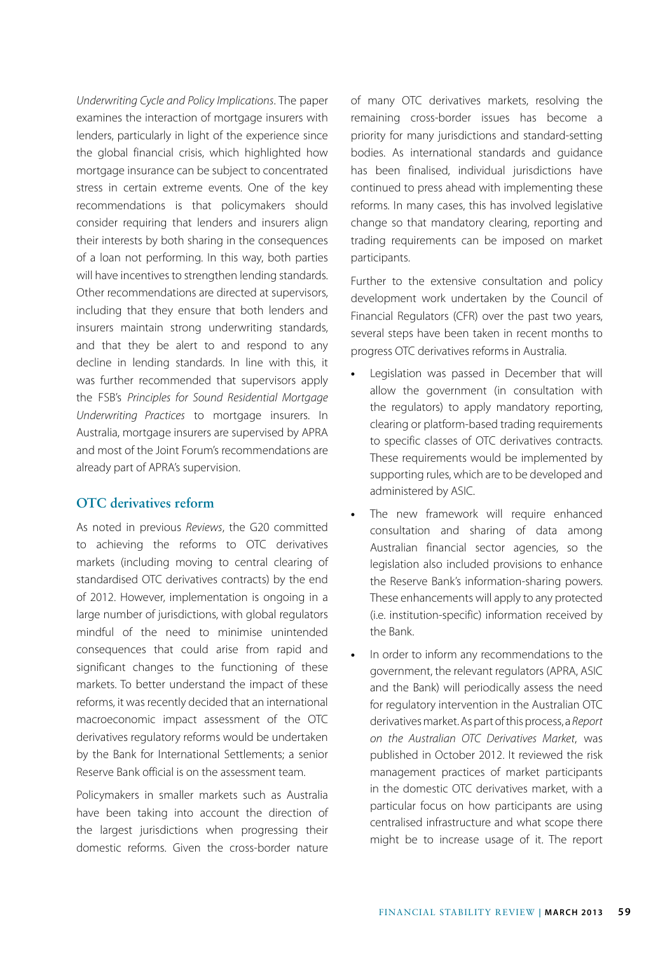*Underwriting Cycle and Policy Implications*. The paper examines the interaction of mortgage insurers with lenders, particularly in light of the experience since the global financial crisis, which highlighted how mortgage insurance can be subject to concentrated stress in certain extreme events. One of the key recommendations is that policymakers should consider requiring that lenders and insurers align their interests by both sharing in the consequences of a loan not performing. In this way, both parties will have incentives to strengthen lending standards. Other recommendations are directed at supervisors, including that they ensure that both lenders and insurers maintain strong underwriting standards, and that they be alert to and respond to any decline in lending standards. In line with this, it was further recommended that supervisors apply the FSB's *Principles for Sound Residential Mortgage Underwriting Practices* to mortgage insurers. In Australia, mortgage insurers are supervised by APRA and most of the Joint Forum's recommendations are already part of APRA's supervision.

#### **OTC derivatives reform**

As noted in previous *Reviews*, the G20 committed to achieving the reforms to OTC derivatives markets (including moving to central clearing of standardised OTC derivatives contracts) by the end of 2012. However, implementation is ongoing in a large number of jurisdictions, with global regulators mindful of the need to minimise unintended consequences that could arise from rapid and significant changes to the functioning of these markets. To better understand the impact of these reforms, it was recently decided that an international macroeconomic impact assessment of the OTC derivatives regulatory reforms would be undertaken by the Bank for International Settlements; a senior Reserve Bank official is on the assessment team.

Policymakers in smaller markets such as Australia have been taking into account the direction of the largest jurisdictions when progressing their domestic reforms. Given the cross-border nature of many OTC derivatives markets, resolving the remaining cross-border issues has become a priority for many jurisdictions and standard-setting bodies. As international standards and guidance has been finalised, individual jurisdictions have continued to press ahead with implementing these reforms. In many cases, this has involved legislative change so that mandatory clearing, reporting and trading requirements can be imposed on market participants.

Further to the extensive consultation and policy development work undertaken by the Council of Financial Regulators (CFR) over the past two years, several steps have been taken in recent months to progress OTC derivatives reforms in Australia.

- **•** Legislation was passed in December that will allow the government (in consultation with the regulators) to apply mandatory reporting, clearing or platform-based trading requirements to specific classes of OTC derivatives contracts. These requirements would be implemented by supporting rules, which are to be developed and administered by ASIC.
- The new framework will require enhanced consultation and sharing of data among Australian financial sector agencies, so the legislation also included provisions to enhance the Reserve Bank's information-sharing powers. These enhancements will apply to any protected (i.e. institution-specific) information received by the Bank.
- **•** In order to inform any recommendations to the government, the relevant regulators (APRA, ASIC and the Bank) will periodically assess the need for regulatory intervention in the Australian OTC derivatives market. As part of this process, a *Report on the Australian OTC Derivatives Market*, was published in October 2012. It reviewed the risk management practices of market participants in the domestic OTC derivatives market, with a particular focus on how participants are using centralised infrastructure and what scope there might be to increase usage of it. The report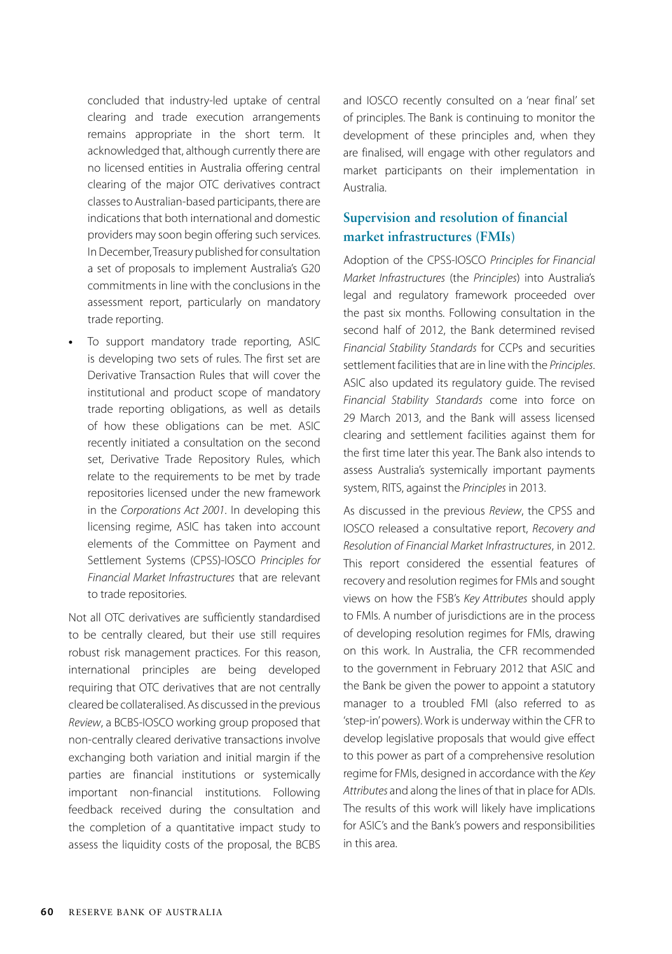concluded that industry-led uptake of central clearing and trade execution arrangements remains appropriate in the short term. It acknowledged that, although currently there are no licensed entities in Australia offering central clearing of the major OTC derivatives contract classes to Australian-based participants, there are indications that both international and domestic providers may soon begin offering such services. In December, Treasury published for consultation a set of proposals to implement Australia's G20 commitments in line with the conclusions in the assessment report, particularly on mandatory trade reporting.

**•** To support mandatory trade reporting, ASIC is developing two sets of rules. The first set are Derivative Transaction Rules that will cover the institutional and product scope of mandatory trade reporting obligations, as well as details of how these obligations can be met. ASIC recently initiated a consultation on the second set, Derivative Trade Repository Rules, which relate to the requirements to be met by trade repositories licensed under the new framework in the *Corporations Act 2001*. In developing this licensing regime, ASIC has taken into account elements of the Committee on Payment and Settlement Systems (CPSS)-IOSCO *Principles for Financial Market Infrastructures* that are relevant to trade repositories.

Not all OTC derivatives are sufficiently standardised to be centrally cleared, but their use still requires robust risk management practices. For this reason, international principles are being developed requiring that OTC derivatives that are not centrally cleared be collateralised. As discussed in the previous *Review*, a BCBS-IOSCO working group proposed that non-centrally cleared derivative transactions involve exchanging both variation and initial margin if the parties are financial institutions or systemically important non-financial institutions. Following feedback received during the consultation and the completion of a quantitative impact study to assess the liquidity costs of the proposal, the BCBS and IOSCO recently consulted on a 'near final' set of principles. The Bank is continuing to monitor the development of these principles and, when they are finalised, will engage with other regulators and market participants on their implementation in Australia.

## **Supervision and resolution of financial market infrastructures (FMIs)**

Adoption of the CPSS-IOSCO *Principles for Financial Market Infrastructures* (the *Principles*) into Australia's legal and regulatory framework proceeded over the past six months. Following consultation in the second half of 2012, the Bank determined revised *Financial Stability Standards* for CCPs and securities settlement facilities that are in line with the *Principles*. ASIC also updated its regulatory guide. The revised *Financial Stability Standards* come into force on 29 March 2013, and the Bank will assess licensed clearing and settlement facilities against them for the first time later this year. The Bank also intends to assess Australia's systemically important payments system, RITS, against the *Principles* in 2013.

As discussed in the previous *Review*, the CPSS and IOSCO released a consultative report, *Recovery and Resolution of Financial Market Infrastructures*, in 2012. This report considered the essential features of recovery and resolution regimes for FMIs and sought views on how the FSB's *Key Attributes* should apply to FMIs. A number of jurisdictions are in the process of developing resolution regimes for FMIs, drawing on this work. In Australia, the CFR recommended to the government in February 2012 that ASIC and the Bank be given the power to appoint a statutory manager to a troubled FMI (also referred to as 'step-in' powers). Work is underway within the CFR to develop legislative proposals that would give effect to this power as part of a comprehensive resolution regime for FMIs, designed in accordance with the *Key Attributes* and along the lines of that in place for ADIs. The results of this work will likely have implications for ASIC's and the Bank's powers and responsibilities in this area.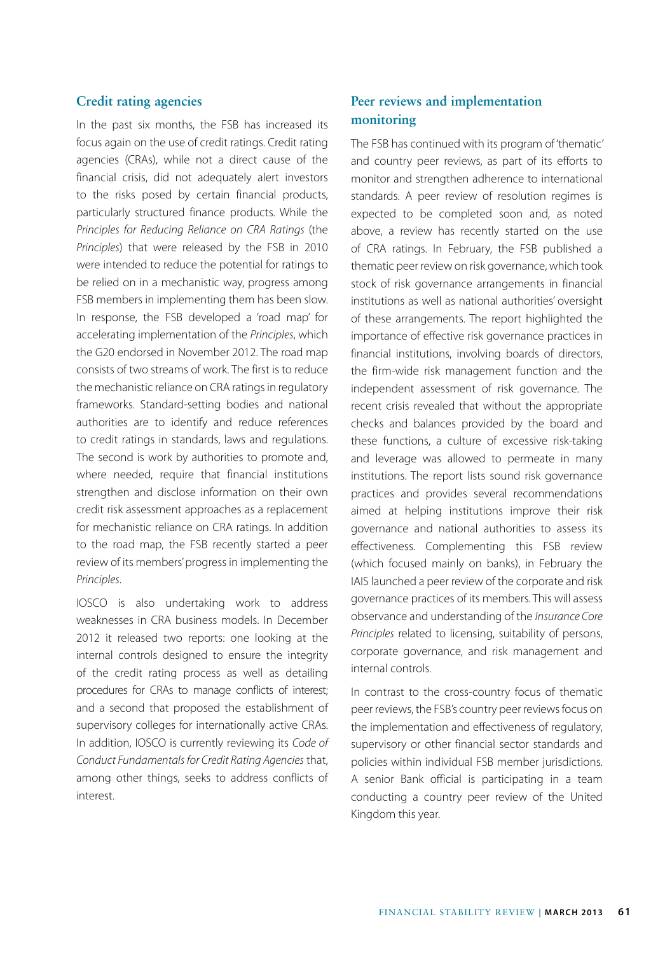#### **Credit rating agencies**

In the past six months, the FSB has increased its focus again on the use of credit ratings. Credit rating agencies (CRAs), while not a direct cause of the financial crisis, did not adequately alert investors to the risks posed by certain financial products, particularly structured finance products. While the *Principles for Reducing Reliance on CRA Ratings* (the *Principles*) that were released by the FSB in 2010 were intended to reduce the potential for ratings to be relied on in a mechanistic way, progress among FSB members in implementing them has been slow. In response, the FSB developed a 'road map' for accelerating implementation of the *Principles*, which the G20 endorsed in November 2012. The road map consists of two streams of work. The first is to reduce the mechanistic reliance on CRA ratings in regulatory frameworks. Standard-setting bodies and national authorities are to identify and reduce references to credit ratings in standards, laws and regulations. The second is work by authorities to promote and, where needed, require that financial institutions strengthen and disclose information on their own credit risk assessment approaches as a replacement for mechanistic reliance on CRA ratings. In addition to the road map, the FSB recently started a peer review of its members' progress in implementing the *Principles*.

IOSCO is also undertaking work to address weaknesses in CRA business models. In December 2012 it released two reports: one looking at the internal controls designed to ensure the integrity of the credit rating process as well as detailing procedures for CRAs to manage conflicts of interest; and a second that proposed the establishment of supervisory colleges for internationally active CRAs. In addition, IOSCO is currently reviewing its *Code of Conduct Fundamentals for Credit Rating Agencies* that, among other things, seeks to address conflicts of interest.

## **Peer reviews and implementation monitoring**

The FSB has continued with its program of 'thematic' and country peer reviews, as part of its efforts to monitor and strengthen adherence to international standards. A peer review of resolution regimes is expected to be completed soon and, as noted above, a review has recently started on the use of CRA ratings. In February, the FSB published a thematic peer review on risk governance, which took stock of risk governance arrangements in financial institutions as well as national authorities' oversight of these arrangements. The report highlighted the importance of effective risk governance practices in financial institutions, involving boards of directors, the firm-wide risk management function and the independent assessment of risk governance. The recent crisis revealed that without the appropriate checks and balances provided by the board and these functions, a culture of excessive risk-taking and leverage was allowed to permeate in many institutions. The report lists sound risk governance practices and provides several recommendations aimed at helping institutions improve their risk governance and national authorities to assess its effectiveness. Complementing this FSB review (which focused mainly on banks), in February the IAIS launched a peer review of the corporate and risk governance practices of its members. This will assess observance and understanding of the *Insurance Core Principles* related to licensing, suitability of persons, corporate governance, and risk management and internal controls.

In contrast to the cross-country focus of thematic peer reviews, the FSB's country peer reviews focus on the implementation and effectiveness of regulatory, supervisory or other financial sector standards and policies within individual FSB member jurisdictions. A senior Bank official is participating in a team conducting a country peer review of the United Kingdom this year.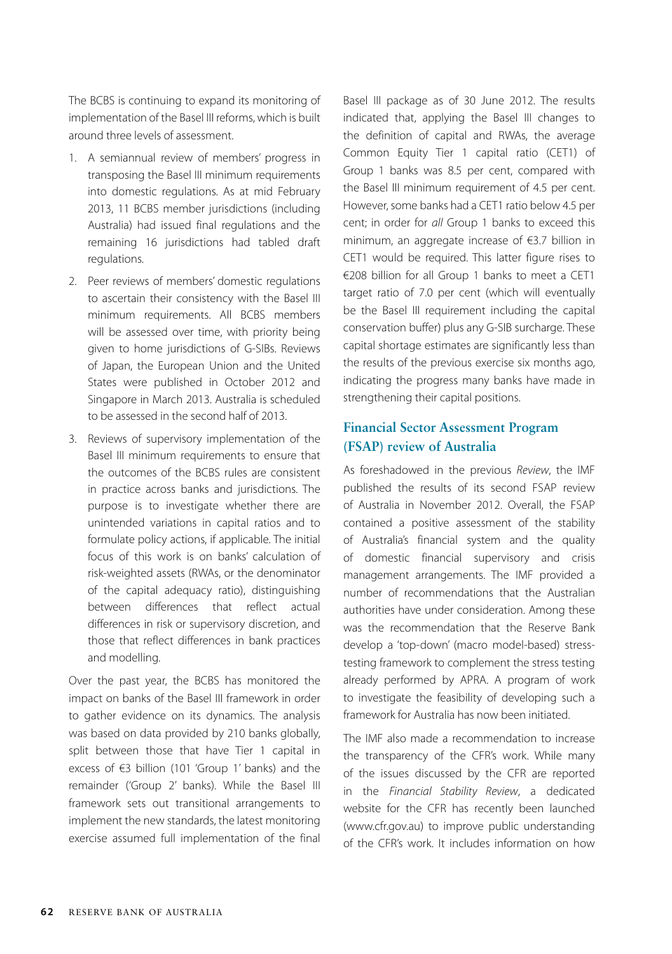The BCBS is continuing to expand its monitoring of implementation of the Basel III reforms, which is built around three levels of assessment.

- 1. A semiannual review of members' progress in transposing the Basel III minimum requirements into domestic regulations. As at mid February 2013, 11 BCBS member jurisdictions (including Australia) had issued final regulations and the remaining 16 jurisdictions had tabled draft regulations.
- 2. Peer reviews of members' domestic regulations to ascertain their consistency with the Basel III minimum requirements. All BCBS members will be assessed over time, with priority being given to home jurisdictions of G-SIBs. Reviews of Japan, the European Union and the United States were published in October 2012 and Singapore in March 2013. Australia is scheduled to be assessed in the second half of 2013.
- 3. Reviews of supervisory implementation of the Basel III minimum requirements to ensure that the outcomes of the BCBS rules are consistent in practice across banks and jurisdictions. The purpose is to investigate whether there are unintended variations in capital ratios and to formulate policy actions, if applicable. The initial focus of this work is on banks' calculation of risk-weighted assets (RWAs, or the denominator of the capital adequacy ratio), distinguishing between differences that reflect actual differences in risk or supervisory discretion, and those that reflect differences in bank practices and modelling.

Over the past year, the BCBS has monitored the impact on banks of the Basel III framework in order to gather evidence on its dynamics. The analysis was based on data provided by 210 banks globally, split between those that have Tier 1 capital in excess of €3 billion (101 'Group 1' banks) and the remainder ('Group 2' banks). While the Basel III framework sets out transitional arrangements to implement the new standards, the latest monitoring exercise assumed full implementation of the final Basel III package as of 30 June 2012. The results indicated that, applying the Basel III changes to the definition of capital and RWAs, the average Common Equity Tier 1 capital ratio (CET1) of Group 1 banks was 8.5 per cent, compared with the Basel III minimum requirement of 4.5 per cent. However, some banks had a CET1 ratio below 4.5 per cent; in order for *all* Group 1 banks to exceed this minimum, an aggregate increase of €3.7 billion in CET1 would be required. This latter figure rises to €208 billion for all Group 1 banks to meet a CET1 target ratio of 7.0 per cent (which will eventually be the Basel III requirement including the capital conservation buffer) plus any G-SIB surcharge. These capital shortage estimates are significantly less than the results of the previous exercise six months ago, indicating the progress many banks have made in strengthening their capital positions.

## **Financial Sector Assessment Program (FSAP) review of Australia**

As foreshadowed in the previous *Review*, the IMF published the results of its second FSAP review of Australia in November 2012. Overall, the FSAP contained a positive assessment of the stability of Australia's financial system and the quality of domestic financial supervisory and crisis management arrangements. The IMF provided a number of recommendations that the Australian authorities have under consideration. Among these was the recommendation that the Reserve Bank develop a 'top-down' (macro model-based) stresstesting framework to complement the stress testing already performed by APRA. A program of work to investigate the feasibility of developing such a framework for Australia has now been initiated.

The IMF also made a recommendation to increase the transparency of the CFR's work. While many of the issues discussed by the CFR are reported in the *Financial Stability Review*, a dedicated website for the CFR has recently been launched (www.cfr.gov.au) to improve public understanding of the CFR's work. It includes information on how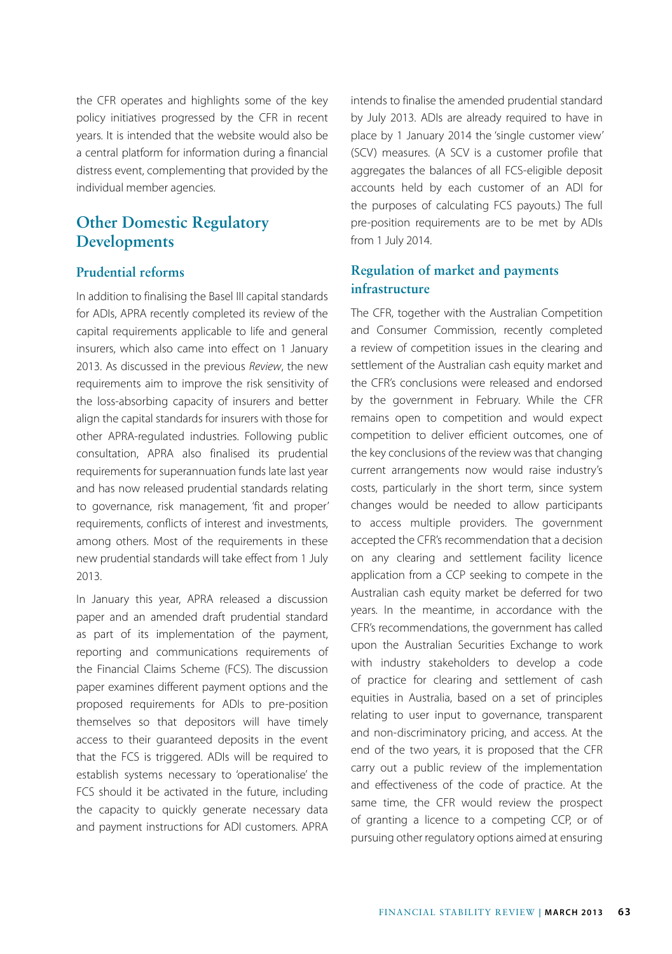the CFR operates and highlights some of the key policy initiatives progressed by the CFR in recent years. It is intended that the website would also be a central platform for information during a financial distress event, complementing that provided by the individual member agencies.

# **Other Domestic Regulatory Developments**

#### **Prudential reforms**

In addition to finalising the Basel III capital standards for ADIs, APRA recently completed its review of the capital requirements applicable to life and general insurers, which also came into effect on 1 January 2013. As discussed in the previous *Review*, the new requirements aim to improve the risk sensitivity of the loss-absorbing capacity of insurers and better align the capital standards for insurers with those for other APRA-regulated industries. Following public consultation, APRA also finalised its prudential requirements for superannuation funds late last year and has now released prudential standards relating to governance, risk management, 'fit and proper' requirements, conflicts of interest and investments, among others. Most of the requirements in these new prudential standards will take effect from 1 July 2013.

In January this year, APRA released a discussion paper and an amended draft prudential standard as part of its implementation of the payment, reporting and communications requirements of the Financial Claims Scheme (FCS). The discussion paper examines different payment options and the proposed requirements for ADIs to pre-position themselves so that depositors will have timely access to their guaranteed deposits in the event that the FCS is triggered. ADIs will be required to establish systems necessary to 'operationalise' the FCS should it be activated in the future, including the capacity to quickly generate necessary data and payment instructions for ADI customers. APRA intends to finalise the amended prudential standard by July 2013. ADIs are already required to have in place by 1 January 2014 the 'single customer view' (SCV) measures. (A SCV is a customer profile that aggregates the balances of all FCS-eligible deposit accounts held by each customer of an ADI for the purposes of calculating FCS payouts.) The full pre-position requirements are to be met by ADIs from 1 July 2014.

## **Regulation of market and payments infrastructure**

The CFR, together with the Australian Competition and Consumer Commission, recently completed a review of competition issues in the clearing and settlement of the Australian cash equity market and the CFR's conclusions were released and endorsed by the government in February. While the CFR remains open to competition and would expect competition to deliver efficient outcomes, one of the key conclusions of the review was that changing current arrangements now would raise industry's costs, particularly in the short term, since system changes would be needed to allow participants to access multiple providers. The government accepted the CFR's recommendation that a decision on any clearing and settlement facility licence application from a CCP seeking to compete in the Australian cash equity market be deferred for two years. In the meantime, in accordance with the CFR's recommendations, the government has called upon the Australian Securities Exchange to work with industry stakeholders to develop a code of practice for clearing and settlement of cash equities in Australia, based on a set of principles relating to user input to governance, transparent and non-discriminatory pricing, and access. At the end of the two years, it is proposed that the CFR carry out a public review of the implementation and effectiveness of the code of practice. At the same time, the CFR would review the prospect of granting a licence to a competing CCP, or of pursuing other regulatory options aimed at ensuring